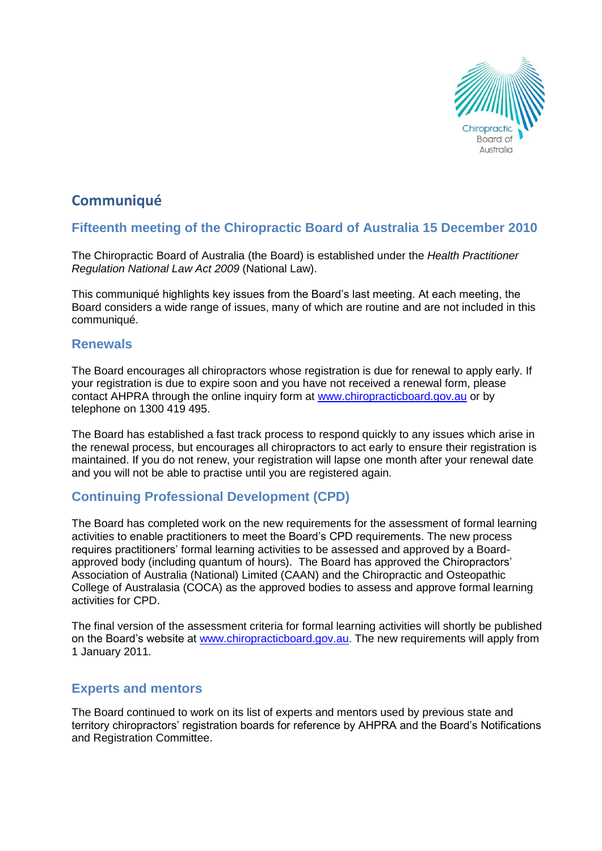

# **Communiqué**

# **Fifteenth meeting of the Chiropractic Board of Australia 15 December 2010**

The Chiropractic Board of Australia (the Board) is established under the *Health Practitioner Regulation National Law Act 2009* (National Law).

This communiqué highlights key issues from the Board's last meeting. At each meeting, the Board considers a wide range of issues, many of which are routine and are not included in this communiqué.

### **Renewals**

The Board encourages all chiropractors whose registration is due for renewal to apply early. If your registration is due to expire soon and you have not received a renewal form, please contact AHPRA through the online inquiry form at [www.chiropracticboard.gov.au](http://www.chiropracticboard.gov.au/) or by telephone on 1300 419 495.

The Board has established a fast track process to respond quickly to any issues which arise in the renewal process, but encourages all chiropractors to act early to ensure their registration is maintained. If you do not renew, your registration will lapse one month after your renewal date and you will not be able to practise until you are registered again.

## **Continuing Professional Development (CPD)**

The Board has completed work on the new requirements for the assessment of formal learning activities to enable practitioners to meet the Board's CPD requirements. The new process requires practitioners' formal learning activities to be assessed and approved by a Boardapproved body (including quantum of hours). The Board has approved the Chiropractors' Association of Australia (National) Limited (CAAN) and the Chiropractic and Osteopathic College of Australasia (COCA) as the approved bodies to assess and approve formal learning activities for CPD.

The final version of the assessment criteria for formal learning activities will shortly be published on the Board's website at [www.chiropracticboard.gov.au.](http://www.chiropracticboard.gov.au/) The new requirements will apply from 1 January 2011.

#### **Experts and mentors**

The Board continued to work on its list of experts and mentors used by previous state and territory chiropractors' registration boards for reference by AHPRA and the Board's Notifications and Registration Committee.